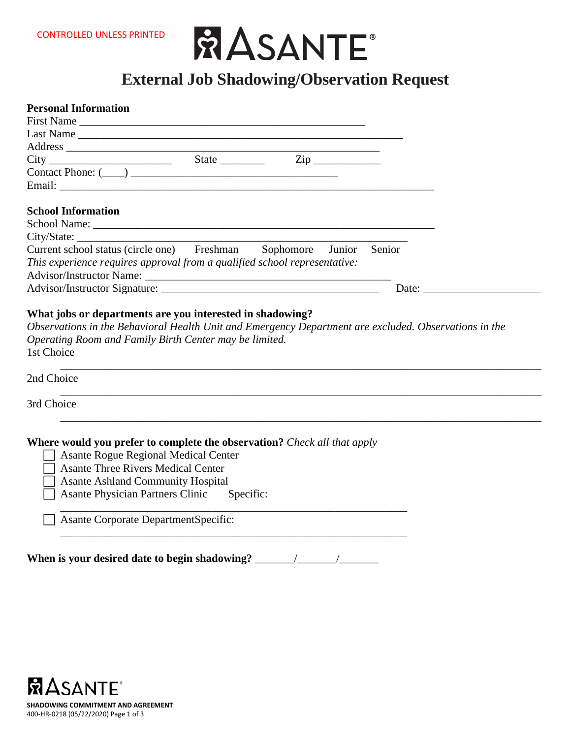

# **External Job Shadowing/Observation Request**

| <b>Personal Information</b>                                                     |  |  |                                                                                                                                                                                                                                |  |
|---------------------------------------------------------------------------------|--|--|--------------------------------------------------------------------------------------------------------------------------------------------------------------------------------------------------------------------------------|--|
|                                                                                 |  |  |                                                                                                                                                                                                                                |  |
|                                                                                 |  |  |                                                                                                                                                                                                                                |  |
|                                                                                 |  |  |                                                                                                                                                                                                                                |  |
| $City$ $Size$ $Size$                                                            |  |  |                                                                                                                                                                                                                                |  |
|                                                                                 |  |  |                                                                                                                                                                                                                                |  |
|                                                                                 |  |  |                                                                                                                                                                                                                                |  |
| <b>School Information</b>                                                       |  |  |                                                                                                                                                                                                                                |  |
|                                                                                 |  |  |                                                                                                                                                                                                                                |  |
| City/State:                                                                     |  |  |                                                                                                                                                                                                                                |  |
| Current school status (circle one) Freshman Sophomore Junior Senior             |  |  |                                                                                                                                                                                                                                |  |
| This experience requires approval from a qualified school representative:       |  |  |                                                                                                                                                                                                                                |  |
|                                                                                 |  |  |                                                                                                                                                                                                                                |  |
|                                                                                 |  |  | Date: the contract of the contract of the contract of the contract of the contract of the contract of the contract of the contract of the contract of the contract of the contract of the contract of the contract of the cont |  |
| 1st Choice<br>2nd Choice                                                        |  |  |                                                                                                                                                                                                                                |  |
|                                                                                 |  |  |                                                                                                                                                                                                                                |  |
| 3rd Choice                                                                      |  |  |                                                                                                                                                                                                                                |  |
|                                                                                 |  |  |                                                                                                                                                                                                                                |  |
| <b>Where would you prefer to complete the observation?</b> Check all that apply |  |  |                                                                                                                                                                                                                                |  |
| <b>Asante Rogue Regional Medical Center</b>                                     |  |  |                                                                                                                                                                                                                                |  |
| <b>Asante Three Rivers Medical Center</b>                                       |  |  |                                                                                                                                                                                                                                |  |
| <b>Asante Ashland Community Hospital</b>                                        |  |  |                                                                                                                                                                                                                                |  |
| Asante Physician Partners Clinic Specific:                                      |  |  |                                                                                                                                                                                                                                |  |
| <b>Asante Corporate DepartmentSpecific:</b>                                     |  |  |                                                                                                                                                                                                                                |  |
|                                                                                 |  |  |                                                                                                                                                                                                                                |  |
|                                                                                 |  |  |                                                                                                                                                                                                                                |  |
| When is your desired date to begin shadowing? _                                 |  |  |                                                                                                                                                                                                                                |  |

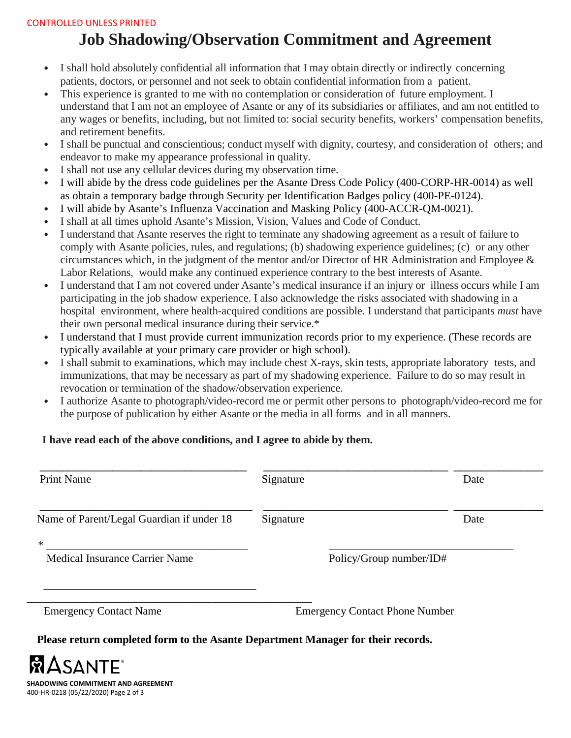#### CONTROLLED UNLESS PRINTED

## **Job Shadowing/Observation Commitment and Agreement**

- I shall hold absolutely confidential all information that I may obtain directly or indirectly concerning patients, doctors, or personnel and not seek to obtain confidential information from a patient.
- This experience is granted to me with no contemplation or consideration of future employment. I understand that I am not an employee of Asante or any of its subsidiaries or affiliates, and am not entitled to any wages or benefits, including, but not limited to: social security benefits, workers' compensation benefits, and retirement benefits.
- I shall be punctual and conscientious; conduct myself with dignity, courtesy, and consideration of others; and endeavor to make my appearance professional in quality.
- I shall not use any cellular devices during my observation time.
- I will abide by the dress code guidelines per the Asante Dress Code Policy (400-CORP-HR-0014) as well as obtain a temporary badge through Security per Identification Badges policy (400-PE-0124).
- I will abide by Asante's Influenza Vaccination and Masking Policy (400-ACCR-QM-0021).
- I shall at all times uphold Asante's Mission, Vision, Values and Code of Conduct.
- I understand that Asante reserves the right to terminate any shadowing agreement as a result of failure to comply with Asante policies, rules, and regulations; (b) shadowing experience guidelines; (c) or any other circumstances which, in the judgment of the mentor and/or Director of HR Administration and Employee & Labor Relations, would make any continued experience contrary to the best interests of Asante.
- I understand that I am not covered under Asante's medical insurance if an injury or illness occurs while I am participating in the job shadow experience. I also acknowledge the risks associated with shadowing in a hospital environment, where health-acquired conditions are possible. I understand that participants *must* have their own personal medical insurance during their service.\*
- I understand that I must provide current immunization records prior to my experience. (These records are typically available at your primary care provider or high school).
- I shall submit to examinations, which may include chest X-rays, skin tests, appropriate laboratory tests, and immunizations, that may be necessary as part of my shadowing experience. Failure to do so may result in revocation or termination of the shadow/observation experience.
- I authorize Asante to photograph/video-record me or permit other persons to photograph/video-record me for the purpose of publication by either Asante or the media in all forms and in all manners.

### **I have read each of the above conditions, and I agree to abide by them.**

| <b>Print Name</b>                         | Signature                             | Date                    |
|-------------------------------------------|---------------------------------------|-------------------------|
| Name of Parent/Legal Guardian if under 18 | Signature                             | Date                    |
| $\ast$<br>Medical Insurance Carrier Name  |                                       | Policy/Group number/ID# |
| <b>Emergency Contact Name</b>             | <b>Emergency Contact Phone Number</b> |                         |

**Please return completed form to the Asante Department Manager for their records.**

**SHADOWING COMMITMENT AND AGREEMENT** 400-HR-0218 (05/22/2020) Page 2 of 3